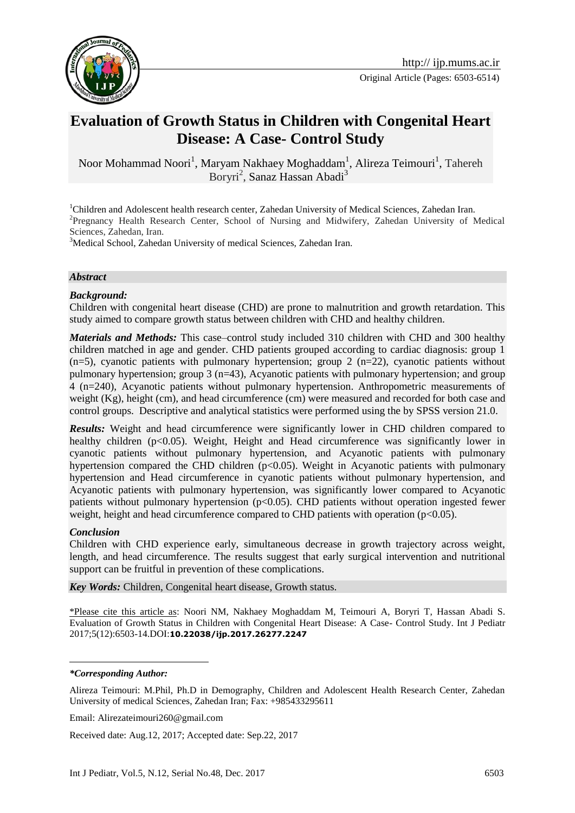

# **Evaluation of Growth Status in Children with Congenital Heart Disease: A Case- Control Study**

Noor Mohammad Noori<sup>1</sup>, Maryam Nakhaey Moghaddam<sup>1</sup>, Alireza Teimouri<sup>1</sup>, Tahereh Boryri<sup>2</sup>, Sanaz Hassan Abadi<sup>3</sup>

<sup>1</sup>Children and Adolescent health research center, Zahedan University of Medical Sciences, Zahedan Iran. <sup>2</sup>Pregnancy Health Research Center, School of Nursing and Midwifery, Zahedan University of Medical Sciences, Zahedan, Iran.

<sup>3</sup>Medical School, Zahedan University of medical Sciences, Zahedan Iran.

#### *Abstract*

#### *Background:*

Children with congenital heart disease (CHD) are prone to malnutrition and growth retardation. This study aimed to compare growth status between children with CHD and healthy children.

*Materials and Methods:* This case–control study included 310 children with CHD and 300 healthy children matched in age and gender. CHD patients grouped according to cardiac diagnosis: group 1  $(n=5)$ , cyanotic patients with pulmonary hypertension; group 2  $(n=22)$ , cyanotic patients without pulmonary hypertension; group 3 (n=43), Acyanotic patients with pulmonary hypertension; and group 4 (n=240), Acyanotic patients without pulmonary hypertension. Anthropometric measurements of weight (Kg), height (cm), and head circumference (cm) were measured and recorded for both case and control groups. Descriptive and analytical statistics were performed using the by SPSS version 21.0.

*Results:* Weight and head circumference were significantly lower in CHD children compared to healthy children (p<0.05). Weight, Height and Head circumference was significantly lower in cyanotic patients without pulmonary hypertension, and Acyanotic patients with pulmonary hypertension compared the CHD children (p<0.05). Weight in Acyanotic patients with pulmonary hypertension and Head circumference in cyanotic patients without pulmonary hypertension, and Acyanotic patients with pulmonary hypertension, was significantly lower compared to Acyanotic patients without pulmonary hypertension (p<0.05). CHD patients without operation ingested fewer weight, height and head circumference compared to CHD patients with operation ( $p<0.05$ ).

#### *Conclusion*

Children with CHD experience early, simultaneous decrease in growth trajectory across weight, length, and head circumference. The results suggest that early surgical intervention and nutritional support can be fruitful in prevention of these complications.

*Key Words:* Children, Congenital heart disease, Growth status.

\*Please cite this article as: Noori NM, Nakhaey Moghaddam M, Teimouri A, Boryri T, Hassan Abadi S. Evaluation of Growth Status in Children with Congenital Heart Disease: A Case- Control Study. Int J Pediatr 2017;5(12):6503-14.DOI:**10.22038/ijp.2017.26277.2247**

#### *\*Corresponding Author:*

<u>.</u>

Alireza Teimouri: M.Phil, Ph.D in Demography, Children and Adolescent Health Research Center, Zahedan University of medical Sciences, Zahedan Iran; Fax: +985433295611

Email: Alirezateimouri260@gmail.com

Received date: Aug.12, 2017; Accepted date: Sep.22, 2017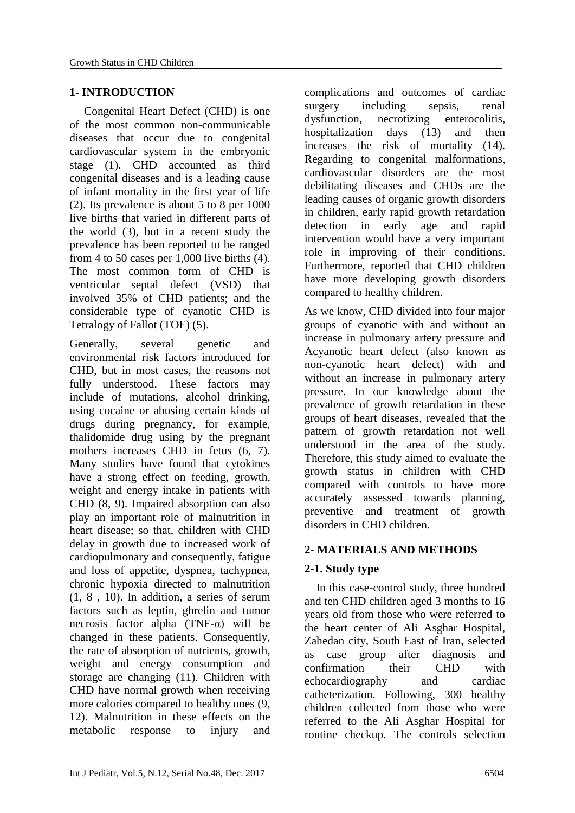#### **1- INTRODUCTION**

 Congenital Heart Defect (CHD) is one of the most common non-communicable diseases that occur due to congenital cardiovascular system in the embryonic stage (1). CHD accounted as third congenital diseases and is a leading cause of infant mortality in the first year of life (2). Its prevalence is about 5 to 8 per 1000 live births that varied in different parts of the world (3), but in a recent study the prevalence has been reported to be ranged from 4 to 50 cases per 1,000 live births (4). The most common form of CHD is ventricular septal defect (VSD) that involved 35% of CHD patients; and the considerable type of cyanotic CHD is Tetralogy of Fallot (TOF) (5).

Generally, several genetic and environmental risk factors introduced for CHD, but in most cases, the reasons not fully understood. These factors may include of mutations, alcohol drinking, using cocaine or abusing certain kinds of drugs during pregnancy, for example, thalidomide drug using by the pregnant mothers increases CHD in fetus  $(6, 7)$ . Many studies have found that cytokines have a strong effect on feeding, growth, weight and energy intake in patients with CHD (8, 9). Impaired absorption can also play an important role of malnutrition in heart disease; so that, children with CHD delay in growth due to increased work of cardiopulmonary and consequently, fatigue and loss of appetite, dyspnea, tachypnea, chronic hypoxia directed to malnutrition (1, 8 , 10). In addition, a series of serum factors such as leptin, ghrelin and tumor necrosis factor alpha  $(TNF-\alpha)$  will be changed in these patients. Consequently, the rate of absorption of nutrients, growth, weight and energy consumption and storage are changing (11). Children with CHD have normal growth when receiving more calories compared to healthy ones (9, 12). Malnutrition in these effects on the metabolic response to injury and

complications and outcomes of cardiac surgery including sepsis, renal dysfunction, necrotizing enterocolitis, hospitalization days (13) and then increases the risk of mortality (14). Regarding to congenital malformations, cardiovascular disorders are the most debilitating diseases and CHDs are the leading causes of organic growth disorders in children, early rapid growth retardation detection in early age and rapid intervention would have a very important role in improving of their conditions. Furthermore, reported that CHD children have more developing growth disorders compared to healthy children.

As we know, CHD divided into four major groups of cyanotic with and without an increase in pulmonary artery pressure and Acyanotic heart defect (also known as non-cyanotic heart defect) with and without an increase in pulmonary artery pressure. In our knowledge about the prevalence of growth retardation in these groups of heart diseases, revealed that the pattern of growth retardation not well understood in the area of the study. Therefore, this study aimed to evaluate the growth status in children with CHD compared with controls to have more accurately assessed towards planning, preventive and treatment of growth disorders in CHD children.

#### **2- MATERIALS AND METHODS**

#### **2-1. Study type**

 In this case-control study, three hundred and ten CHD children aged 3 months to 16 years old from those who were referred to the heart center of Ali Asghar Hospital, Zahedan city, South East of Iran, selected as case group after diagnosis and confirmation their CHD with echocardiography and cardiac catheterization. Following, 300 healthy children collected from those who were referred to the Ali Asghar Hospital for routine checkup. The controls selection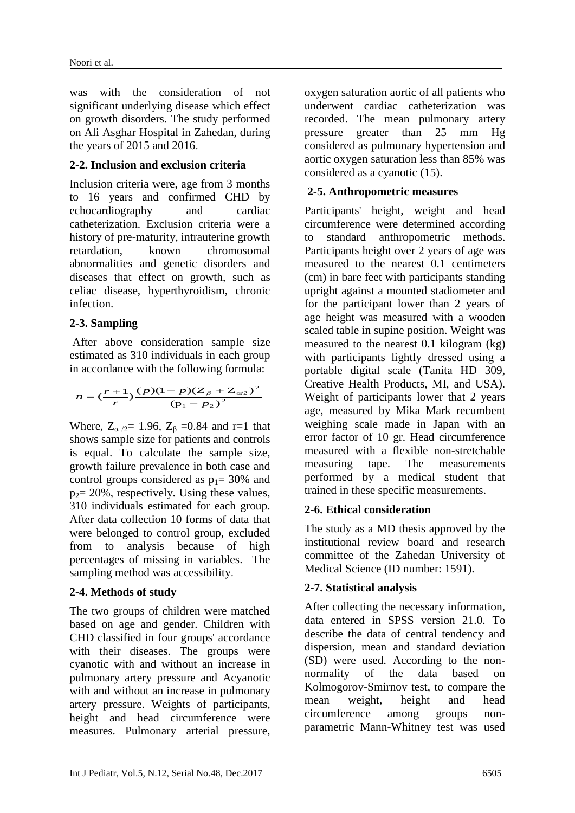was with the consideration of not significant underlying disease which effect on growth disorders. The study performed on Ali Asghar Hospital in Zahedan, during the years of 2015 and 2016.

#### **2-2. Inclusion and exclusion criteria**

Inclusion criteria were, age from 3 months to 16 years and confirmed CHD by echocardiography and cardiac catheterization. Exclusion criteria were a history of pre-maturity, intrauterine growth retardation, known chromosomal abnormalities and genetic disorders and diseases that effect on growth, such as celiac disease, hyperthyroidism, chronic infection.

# **2-3. Sampling**

After above consideration sample size estimated as 310 individuals in each group in accordance with the following formula:

$$
n = \left(\frac{r+1}{r}\right) \frac{(\bar{p})(1-\bar{p})(Z_{\beta} + Z_{\alpha/2})^2}{(p_1 - p_2)^2}
$$

Where,  $Z_{\alpha/2} = 1.96$ ,  $Z_{\beta} = 0.84$  and r=1 that shows sample size for patients and controls is equal. To calculate the sample size, growth failure prevalence in both case and control groups considered as  $p_1 = 30\%$  and  $p_2$ = 20%, respectively. Using these values, 310 individuals estimated for each group. After data collection 10 forms of data that were belonged to control group, excluded from to analysis because of high percentages of missing in variables. The sampling method was accessibility.

# **2-4. Methods of study**

The two groups of children were matched based on age and gender. Children with CHD classified in four groups' accordance with their diseases. The groups were cyanotic with and without an increase in pulmonary artery pressure and Acyanotic with and without an increase in pulmonary artery pressure. Weights of participants, height and head circumference were measures. Pulmonary arterial pressure,

oxygen saturation aortic of all patients who underwent cardiac catheterization was recorded. The mean pulmonary artery pressure greater than 25 mm Hg considered as pulmonary hypertension and aortic oxygen saturation less than 85% was considered as a cyanotic (15).

#### **2-5. Anthropometric measures**

Participants' height, weight and head circumference were determined according to standard anthropometric methods. Participants height over 2 years of age was measured to the nearest 0.1 centimeters (cm) in bare feet with participants standing upright against a mounted stadiometer and for the participant lower than 2 years of age height was measured with a wooden scaled table in supine position. Weight was measured to the nearest 0.1 kilogram (kg) with participants lightly dressed using a portable digital scale (Tanita HD 309, Creative Health Products, MI, and USA). Weight of participants lower that 2 years age, measured by Mika Mark recumbent weighing scale made in Japan with an error factor of 10 gr. Head circumference measured with a flexible non-stretchable measuring tape. The measurements performed by a medical student that trained in these specific measurements.

# **2-6. Ethical consideration**

The study as a MD thesis approved by the institutional review board and research committee of the Zahedan University of Medical Science (ID number: 1591).

#### **2-7. Statistical analysis**

After collecting the necessary information, data entered in SPSS version 21.0. To describe the data of central tendency and dispersion, mean and standard deviation (SD) were used. According to the nonnormality of the data based on Kolmogorov-Smirnov test, to compare the mean weight, height and head circumference among groups nonparametric Mann-Whitney test was used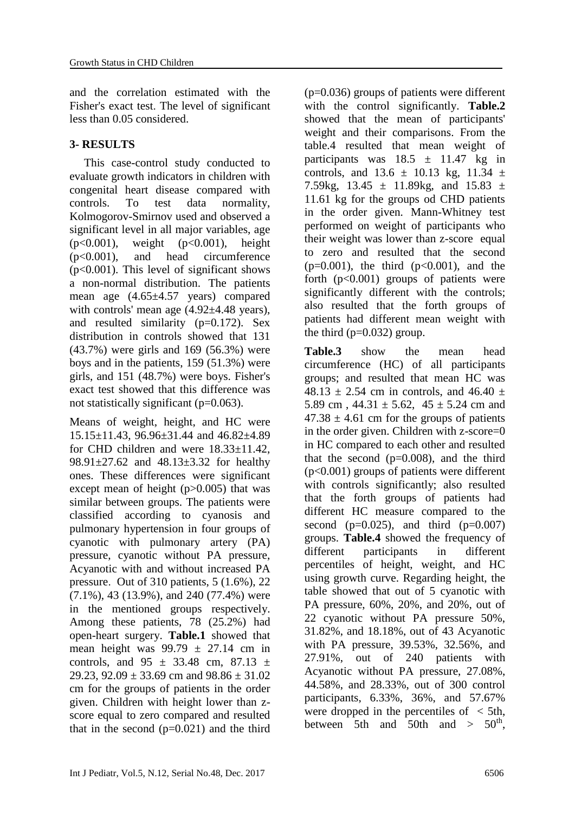and the correlation estimated with the Fisher's exact test. The level of significant less than 0.05 considered.

#### **3- RESULTS**

 This case-control study conducted to evaluate growth indicators in children with congenital heart disease compared with controls. To test data normality, Kolmogorov-Smirnov used and observed a significant level in all major variables, age (p<0.001), weight (p<0.001), height (p<0.001), and head circumference (p<0.001). This level of significant shows a non-normal distribution. The patients mean age (4.65±4.57 years) compared with controls' mean age  $(4.92\pm4.48 \text{ years})$ , and resulted similarity (p=0.172). Sex distribution in controls showed that 131 (43.7%) were girls and 169 (56.3%) were boys and in the patients, 159 (51.3%) were girls, and 151 (48.7%) were boys. Fisher's exact test showed that this difference was not statistically significant (p=0.063).

Means of weight, height, and HC were 15.15±11.43, 96.96±31.44 and 46.82±4.89 for CHD children and were 18.33±11.42, 98.91±27.62 and 48.13±3.32 for healthy ones. These differences were significant except mean of height  $(p>0.005)$  that was similar between groups. The patients were classified according to cyanosis and pulmonary hypertension in four groups of cyanotic with pulmonary artery (PA) pressure, cyanotic without PA pressure, Acyanotic with and without increased PA pressure. Out of 310 patients, 5 (1.6%), 22 (7.1%), 43 (13.9%), and 240 (77.4%) were in the mentioned groups respectively. Among these patients, 78 (25.2%) had open-heart surgery. **Table.1** showed that mean height was  $99.79 \pm 27.14$  cm in controls, and  $95 \pm 33.48$  cm,  $87.13 \pm 1.5$ 29.23, 92.09  $\pm$  33.69 cm and 98.86  $\pm$  31.02 cm for the groups of patients in the order given. Children with height lower than zscore equal to zero compared and resulted that in the second  $(p=0.021)$  and the third (p=0.036) groups of patients were different with the control significantly. **Table.2**  showed that the mean of participants' weight and their comparisons. From the table.4 resulted that mean weight of participants was  $18.5 \pm 11.47$  kg in controls, and  $13.6 \pm 10.13$  kg,  $11.34 \pm 10.13$ 7.59kg,  $13.45 \pm 11.89$ kg, and  $15.83 \pm 11.89$ 11.61 kg for the groups od CHD patients in the order given. Mann-Whitney test performed on weight of participants who their weight was lower than z-score equal to zero and resulted that the second  $(p=0.001)$ , the third  $(p<0.001)$ , and the forth  $(p<0.001)$  groups of patients were significantly different with the controls; also resulted that the forth groups of patients had different mean weight with the third  $(p=0.032)$  group.

**Table.3** show the mean head circumference (HC) of all participants groups; and resulted that mean HC was 48.13  $\pm$  2.54 cm in controls, and 46.40  $\pm$ 5.89 cm,  $44.31 \pm 5.62$ ,  $45 \pm 5.24$  cm and  $47.38 \pm 4.61$  cm for the groups of patients in the order given. Children with z-score=0 in HC compared to each other and resulted that the second  $(p=0.008)$ , and the third (p<0.001) groups of patients were different with controls significantly; also resulted that the forth groups of patients had different HC measure compared to the second ( $p=0.025$ ), and third ( $p=0.007$ ) groups. **Table.4** showed the frequency of different participants in different percentiles of height, weight, and HC using growth curve. Regarding height, the table showed that out of 5 cyanotic with PA pressure, 60%, 20%, and 20%, out of 22 cyanotic without PA pressure 50%, 31.82%, and 18.18%, out of 43 Acyanotic with PA pressure, 39.53%, 32.56%, and 27.91%, out of 240 patients with Acyanotic without PA pressure, 27.08%, 44.58%, and 28.33%, out of 300 control participants, 6.33%, 36%, and 57.67% were dropped in the percentiles of  $\langle$  5th, between 5th and 50th and  $> 50<sup>th</sup>$ ,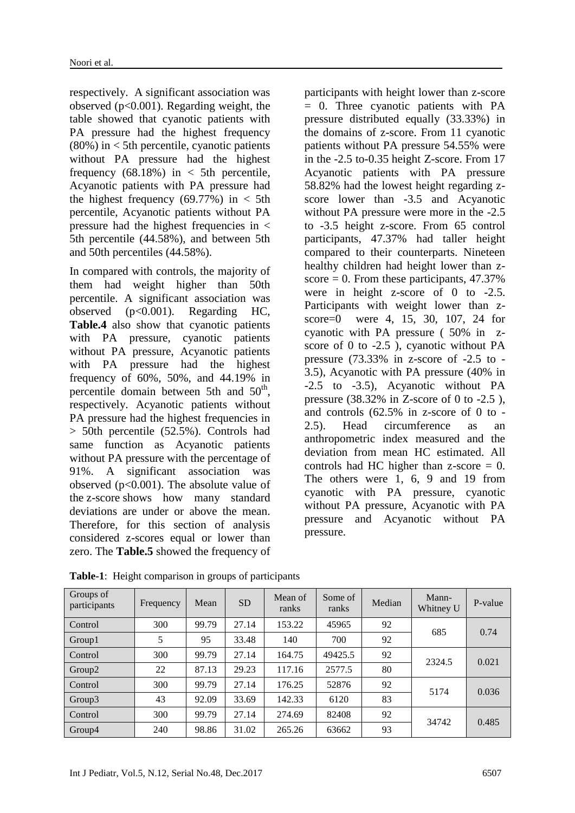respectively. A significant association was observed (p<0.001). Regarding weight, the table showed that cyanotic patients with PA pressure had the highest frequency  $(80\%)$  in  $\lt$  5th percentile, cyanotic patients without PA pressure had the highest frequency  $(68.18\%)$  in  $\lt$  5th percentile, Acyanotic patients with PA pressure had the highest frequency  $(69.77%)$  in < 5th percentile, Acyanotic patients without PA pressure had the highest frequencies in  $\lt$ 5th percentile (44.58%), and between 5th and 50th percentiles (44.58%).

In compared with controls, the majority of them had weight higher than 50th percentile. A significant association was observed (p<0.001). Regarding HC, **Table.4** also show that cyanotic patients with PA pressure, cyanotic patients without PA pressure, Acyanotic patients with PA pressure had the highest frequency of 60%, 50%, and 44.19% in percentile domain between 5th and 50<sup>th</sup>, respectively. Acyanotic patients without PA pressure had the highest frequencies in > 50th percentile (52.5%). Controls had same function as Acyanotic patients without PA pressure with the percentage of 91%. A significant association was observed (p<0.001). The absolute value of the z-score shows how many standard deviations are under or above the mean. Therefore, for this section of analysis considered z-scores equal or lower than zero. The **Table.5** showed the frequency of

participants with height lower than z-score = 0. Three cyanotic patients with PA pressure distributed equally (33.33%) in the domains of z-score. From 11 cyanotic patients without PA pressure 54.55% were in the -2.5 to-0.35 height Z-score. From 17 Acyanotic patients with PA pressure 58.82% had the lowest height regarding zscore lower than -3.5 and Acyanotic without PA pressure were more in the -2.5 to -3.5 height z-score. From 65 control participants, 47.37% had taller height compared to their counterparts. Nineteen healthy children had height lower than zscore  $= 0$ . From these participants, 47.37% were in height z-score of 0 to -2.5. Participants with weight lower than zscore=0 were 4, 15, 30, 107, 24 for cyanotic with PA pressure ( 50% in zscore of 0 to -2.5 ), cyanotic without PA pressure (73.33% in z-score of -2.5 to - 3.5), Acyanotic with PA pressure (40% in -2.5 to -3.5), Acyanotic without PA pressure  $(38.32\% \text{ in } Z\text{-score of } 0 \text{ to } -2.5)$ , and controls (62.5% in z-score of 0 to - 2.5). Head circumference as an anthropometric index measured and the deviation from mean HC estimated. All controls had HC higher than  $z$ -score  $= 0$ . The others were 1, 6, 9 and 19 from cyanotic with PA pressure, cyanotic without PA pressure, Acyanotic with PA pressure and Acyanotic without PA pressure.

| Groups of<br>participants | Frequency | Mean  | <b>SD</b> | Mean of<br>ranks | Some of<br>ranks | Median | Mann-<br>Whitney U | P-value |
|---------------------------|-----------|-------|-----------|------------------|------------------|--------|--------------------|---------|
| Control                   | 300       | 99.79 | 27.14     | 153.22           | 45965            | 92     | 685                | 0.74    |
| Group1                    | 5         | 95    | 33.48     | 140              | 700              | 92     |                    |         |
| Control                   | 300       | 99.79 | 27.14     | 164.75           | 49425.5          | 92     | 2324.5             | 0.021   |
| Group <sub>2</sub>        | 22        | 87.13 | 29.23     | 117.16           | 2577.5           | 80     |                    |         |
| Control                   | 300       | 99.79 | 27.14     | 176.25           | 52876            | 92     | 5174               | 0.036   |
| Group3                    | 43        | 92.09 | 33.69     | 142.33           | 6120             | 83     |                    |         |
| Control                   | 300       | 99.79 | 27.14     | 274.69           | 82408            | 92     | 34742              |         |
| Group4                    | 240       | 98.86 | 31.02     | 265.26           | 63662            | 93     |                    | 0.485   |

**Table-1**: Height comparison in groups of participants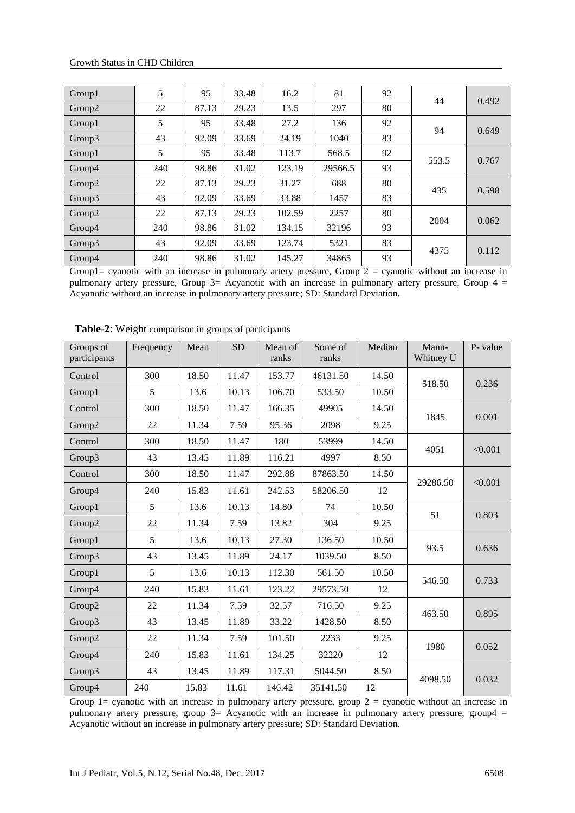| Group1             | 5   | 95    | 33.48 | 16.2   | 81      | 92 | 44    | 0.492 |
|--------------------|-----|-------|-------|--------|---------|----|-------|-------|
| Group2             | 22  | 87.13 | 29.23 | 13.5   | 297     | 80 |       |       |
| Group1             | 5   | 95    | 33.48 | 27.2   | 136     | 92 | 94    | 0.649 |
| Group3             | 43  | 92.09 | 33.69 | 24.19  | 1040    | 83 |       |       |
| Group1             | 5   | 95    | 33.48 | 113.7  | 568.5   | 92 | 553.5 | 0.767 |
| Group4             | 240 | 98.86 | 31.02 | 123.19 | 29566.5 | 93 |       |       |
| Group <sub>2</sub> | 22  | 87.13 | 29.23 | 31.27  | 688     | 80 | 435   |       |
| Group3             | 43  | 92.09 | 33.69 | 33.88  | 1457    | 83 |       | 0.598 |
| Group2             | 22  | 87.13 | 29.23 | 102.59 | 2257    | 80 | 2004  |       |
| Group4             | 240 | 98.86 | 31.02 | 134.15 | 32196   | 93 |       | 0.062 |
| Group3             | 43  | 92.09 | 33.69 | 123.74 | 5321    | 83 | 4375  |       |
| Group4             | 240 | 98.86 | 31.02 | 145.27 | 34865   | 93 |       | 0.112 |

Group1= cyanotic with an increase in pulmonary artery pressure, Group  $2 =$  cyanotic without an increase in pulmonary artery pressure, Group 3= Acyanotic with an increase in pulmonary artery pressure, Group 4 = Acyanotic without an increase in pulmonary artery pressure; SD: Standard Deviation.

| Groups of<br>participants | Frequency | Mean  | <b>SD</b> | Mean of<br>ranks | Some of<br>ranks | Median | Mann-<br>Whitney U | P- value |
|---------------------------|-----------|-------|-----------|------------------|------------------|--------|--------------------|----------|
| Control                   | 300       | 18.50 | 11.47     | 153.77           | 46131.50         | 14.50  |                    |          |
| Group1                    | 5         | 13.6  | 10.13     | 106.70           | 533.50           | 10.50  | 518.50             | 0.236    |
| Control                   | 300       | 18.50 | 11.47     | 166.35           | 49905            | 14.50  | 1845               |          |
| Group2                    | 22        | 11.34 | 7.59      | 95.36            | 2098             | 9.25   |                    | 0.001    |
| Control                   | 300       | 18.50 | 11.47     | 180              | 53999            | 14.50  | 4051               | < 0.001  |
| Group3                    | 43        | 13.45 | 11.89     | 116.21           | 4997             | 8.50   |                    |          |
| Control                   | 300       | 18.50 | 11.47     | 292.88           | 87863.50         | 14.50  | 29286.50           | < 0.001  |
| Group4                    | 240       | 15.83 | 11.61     | 242.53           | 58206.50         | 12     |                    |          |
| Group1                    | 5         | 13.6  | 10.13     | 14.80            | 74               | 10.50  | 51                 | 0.803    |
| Group2                    | 22        | 11.34 | 7.59      | 13.82            | 304              | 9.25   |                    |          |
| Group1                    | 5         | 13.6  | 10.13     | 27.30            | 136.50           | 10.50  | 93.5               | 0.636    |
| Group3                    | 43        | 13.45 | 11.89     | 24.17            | 1039.50          | 8.50   |                    |          |
| Group1                    | 5         | 13.6  | 10.13     | 112.30           | 561.50           | 10.50  | 546.50             | 0.733    |
| Group4                    | 240       | 15.83 | 11.61     | 123.22           | 29573.50         | 12     |                    |          |
| Group2                    | 22        | 11.34 | 7.59      | 32.57            | 716.50           | 9.25   | 463.50             | 0.895    |
| Group3                    | 43        | 13.45 | 11.89     | 33.22            | 1428.50          | 8.50   |                    |          |
| Group2                    | 22        | 11.34 | 7.59      | 101.50           | 2233             | 9.25   |                    |          |
| Group4                    | 240       | 15.83 | 11.61     | 134.25           | 32220            | 12     | 1980               | 0.052    |
| Group3                    | 43        | 13.45 | 11.89     | 117.31           | 5044.50          | 8.50   | 4098.50            |          |
| Group4                    | 240       | 15.83 | 11.61     | 146.42           | 35141.50         | 12     |                    | 0.032    |

 **Table-2**: Weight comparison in groups of participants

Group  $1=$  cyanotic with an increase in pulmonary artery pressure, group  $2 =$  cyanotic without an increase in pulmonary artery pressure, group 3= Acyanotic with an increase in pulmonary artery pressure, group4 = Acyanotic without an increase in pulmonary artery pressure; SD: Standard Deviation.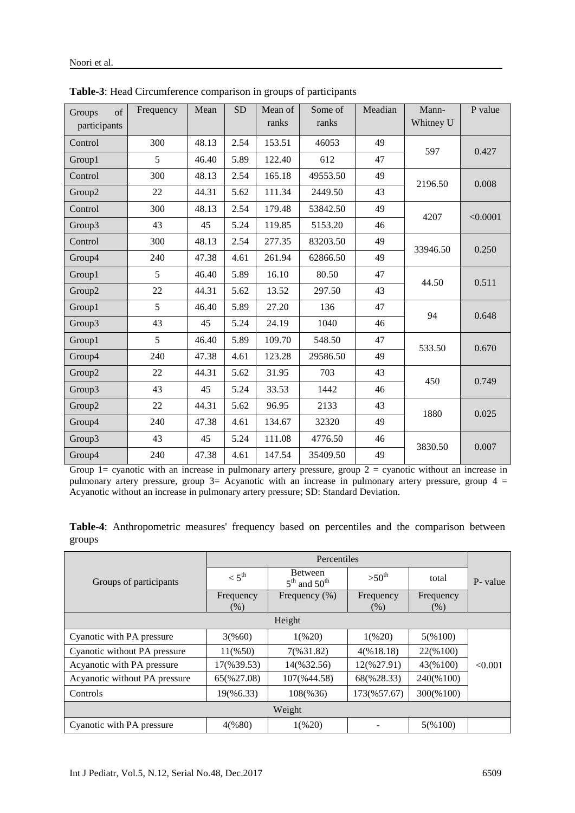| of<br>Groups<br>participants | Frequency | Mean  | <b>SD</b> | Mean of<br>ranks | Some of<br>ranks | Meadian | Mann-<br>Whitney U | P value  |
|------------------------------|-----------|-------|-----------|------------------|------------------|---------|--------------------|----------|
| Control                      | 300       | 48.13 | 2.54      | 153.51           | 46053            | 49      |                    |          |
| Group1                       | 5         | 46.40 | 5.89      | 122.40           | 612              | 47      | 597                | 0.427    |
| Control                      | 300       | 48.13 | 2.54      | 165.18           | 49553.50         | 49      |                    | 0.008    |
| Group2                       | 22        | 44.31 | 5.62      | 111.34           | 2449.50          | 43      | 2196.50            |          |
| Control                      | 300       | 48.13 | 2.54      | 179.48           | 53842.50         | 49      | 4207               | < 0.0001 |
| Group3                       | 43        | 45    | 5.24      | 119.85           | 5153.20          | 46      |                    |          |
| Control                      | 300       | 48.13 | 2.54      | 277.35           | 83203.50         | 49      | 33946.50           | 0.250    |
| Group4                       | 240       | 47.38 | 4.61      | 261.94           | 62866.50         | 49      |                    |          |
| Group1                       | 5         | 46.40 | 5.89      | 16.10            | 80.50            | 47      | 44.50              | 0.511    |
| Group2                       | 22        | 44.31 | 5.62      | 13.52            | 297.50           | 43      |                    |          |
| Group1                       | 5         | 46.40 | 5.89      | 27.20            | 136              | 47      | 94                 | 0.648    |
| Group3                       | 43        | 45    | 5.24      | 24.19            | 1040             | 46      |                    |          |
| Group1                       | 5         | 46.40 | 5.89      | 109.70           | 548.50           | 47      | 533.50             |          |
| Group4                       | 240       | 47.38 | 4.61      | 123.28           | 29586.50         | 49      |                    | 0.670    |
| Group2                       | 22        | 44.31 | 5.62      | 31.95            | 703              | 43      | 450                | 0.749    |
| Group3                       | 43        | 45    | 5.24      | 33.53            | 1442             | 46      |                    |          |
| Group2                       | 22        | 44.31 | 5.62      | 96.95            | 2133             | 43      | 1880               |          |
| Group4                       | 240       | 47.38 | 4.61      | 134.67           | 32320            | 49      |                    | 0.025    |
| Group3                       | 43        | 45    | 5.24      | 111.08           | 4776.50          | 46      | 3830.50            |          |
| Group4                       | 240       | 47.38 | 4.61      | 147.54           | 35409.50         | 49      |                    | 0.007    |

**Table-3**: Head Circumference comparison in groups of participants

Group  $1=$  cyanotic with an increase in pulmonary artery pressure, group  $2 =$  cyanotic without an increase in pulmonary artery pressure, group 3= Acyanotic with an increase in pulmonary artery pressure, group 4 = Acyanotic without an increase in pulmonary artery pressure; SD: Standard Deviation.

|        | Table-4: Anthropometric measures' frequency based on percentiles and the comparison between |  |  |  |  |  |
|--------|---------------------------------------------------------------------------------------------|--|--|--|--|--|
| groups |                                                                                             |  |  |  |  |  |

| Groups of participants        | $< 5^{\text{th}}$ | <b>Between</b><br>$5th$ and $50th$ | $>50^{th}$             | total     | P- value |  |  |  |  |
|-------------------------------|-------------------|------------------------------------|------------------------|-----------|----------|--|--|--|--|
|                               | Frequency         | Frequency (%)                      | Frequency              | Frequency |          |  |  |  |  |
|                               | (% )              |                                    | (%)                    | (% )      |          |  |  |  |  |
| Height                        |                   |                                    |                        |           |          |  |  |  |  |
| Cyanotic with PA pressure     | 3(%60)            | 1(%20)                             | 1(%20)                 | 5(%100)   |          |  |  |  |  |
| Cyanotic without PA pressure  | 11(%50)           | 7(%31.82)                          | 4(%18.18)              | 22(%100)  |          |  |  |  |  |
| Acyanotic with PA pressure    | 17(%39.53)        | 14(%32.56)                         | $12(\frac{627.91}{2})$ | 43(%100)  | < 0.001  |  |  |  |  |
| Acyanotic without PA pressure | 65(%27.08)        | 107(%44.58)                        | 68(%28.33)             | 240(%100) |          |  |  |  |  |
| Controls                      | 19(%6.33)         | 108(%36)                           | 173(%57.67)            | 300(%100) |          |  |  |  |  |
| Weight                        |                   |                                    |                        |           |          |  |  |  |  |
| Cyanotic with PA pressure     | 4(%80)            | 1(%20)                             |                        | 5(%100)   |          |  |  |  |  |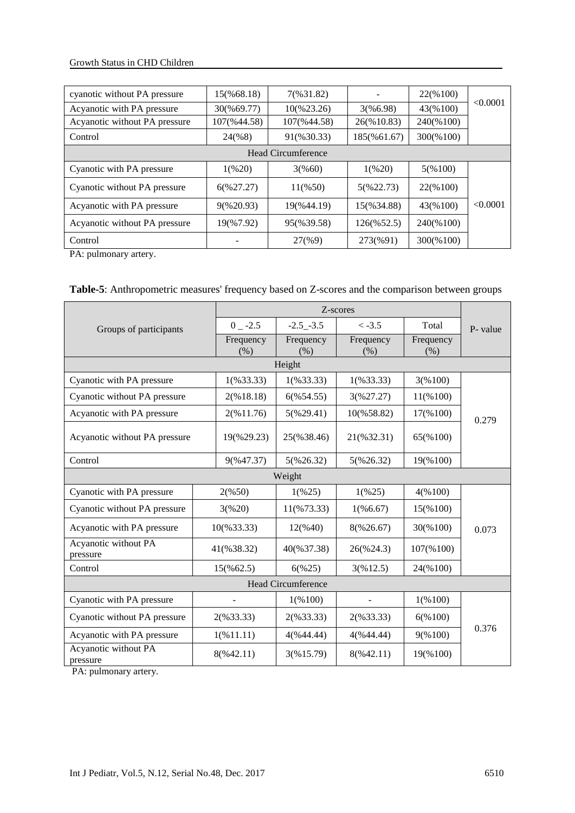#### Growth Status in CHD Children

| cyanotic without PA pressure  | 15(%68.18)  | 7(%31.82)           |                        | 22(%100)  |          |  |  |  |  |
|-------------------------------|-------------|---------------------|------------------------|-----------|----------|--|--|--|--|
| Acyanotic with PA pressure    | 30(%69.77)  | 10(%23.26)          | 3(%6.98)               | 43(%100)  | < 0.0001 |  |  |  |  |
| Acyanotic without PA pressure | 107(%44.58) | 107(%44.58)         | 26(%10.83)             | 240(%100) |          |  |  |  |  |
| Control                       | 24(%8)      | 91(%30.33)          | 185(%61.67)            | 300(%100) |          |  |  |  |  |
| Head Circumference            |             |                     |                        |           |          |  |  |  |  |
| Cyanotic with PA pressure     | $1\,(%20)$  | 3(%60)              | 1(%20)                 | 5(%100)   |          |  |  |  |  |
| Cyanotic without PA pressure  | 6(%27.27)   | $11(\frac{96}{50})$ | 5(9622.73)             | 22(%100)  |          |  |  |  |  |
| Acyanotic with PA pressure    | 9(%20.93)   | 19(%44.19)          | 15(%34.88)             | 43(%100)  | < 0.0001 |  |  |  |  |
| Acyanotic without PA pressure | 19(%7.92)   | 95(%39.58)          | $126(\frac{652.5}{2})$ | 240(%100) |          |  |  |  |  |
| Control                       |             | 27(%9)              | 273(%91)               | 300(%100) |          |  |  |  |  |

PA: pulmonary artery.

**Table-5**: Anthropometric measures' frequency based on Z-scores and the comparison between groups

|                                  |                        | Z-scores          |                   |                   |          |  |  |  |  |
|----------------------------------|------------------------|-------------------|-------------------|-------------------|----------|--|--|--|--|
| Groups of participants           | $0 -2.5$               | $-2.5 - 3.5$      | $<-3.5$           | Total             | P- value |  |  |  |  |
|                                  | Frequency<br>(% )      | Frequency<br>(% ) | Frequency<br>(% ) | Frequency<br>(% ) |          |  |  |  |  |
| Height                           |                        |                   |                   |                   |          |  |  |  |  |
| Cyanotic with PA pressure        | $1($ %33.33)           | $1($ %33.33)      | $1($ %33.33)      | 3(%100)           |          |  |  |  |  |
| Cyanotic without PA pressure     | 2(%18.18)              | 6(%54.55)         | 3(%27.27)         | 11(%100)          |          |  |  |  |  |
| Acyanotic with PA pressure       | 2(%11.76)              | 5(%29.41)         | 10(%58.82)        | 17(%100)          | 0.279    |  |  |  |  |
| Acyanotic without PA pressure    | 19(%29.23)             | 25(%38.46)        | 21(%32.31)        | 65(%100)          |          |  |  |  |  |
| Control                          | 9(%47.37)              | 5(%26.32)         | 5(%26.32)         | 19(%100)          |          |  |  |  |  |
| Weight                           |                        |                   |                   |                   |          |  |  |  |  |
| Cyanotic with PA pressure        | 2(%50)                 | 1(%25)            | 1(%25)            | 4(%100)           |          |  |  |  |  |
| Cyanotic without PA pressure     | 3(%20)                 | 11(%73.33)        | 1(%6.67)          | 15(%100)          |          |  |  |  |  |
| Acyanotic with PA pressure       | $10(\frac{96}{33.33})$ | 12(%40)           | 8(%26.67)         | 30(%100)          | 0.073    |  |  |  |  |
| Acyanotic without PA<br>pressure | 41(%38.32)             | 40(%37.38)        | 26(%24.3)         | $107(\%100)$      |          |  |  |  |  |
| Control                          | $15(\%62.5)$           | 6(%25)            | 3(%12.5)          | 24(%100)          |          |  |  |  |  |
| <b>Head Circumference</b>        |                        |                   |                   |                   |          |  |  |  |  |
| Cyanotic with PA pressure        |                        | 1(%100)           |                   | 1(%100)           |          |  |  |  |  |
| Cyanotic without PA pressure     | $2($ %33.33)           |                   | $2($ %33.33)      | 6(%100)           |          |  |  |  |  |
| Acyanotic with PA pressure       | 1(%11.11)              | 4(%44.44)         | 4(%44.44)         | 9(%100)           | 0.376    |  |  |  |  |
| Acyanotic without PA<br>pressure | 8(%42.11)              | 3(%15.79)         | 8(%42.11)         | 19(%100)          |          |  |  |  |  |

PA: pulmonary artery.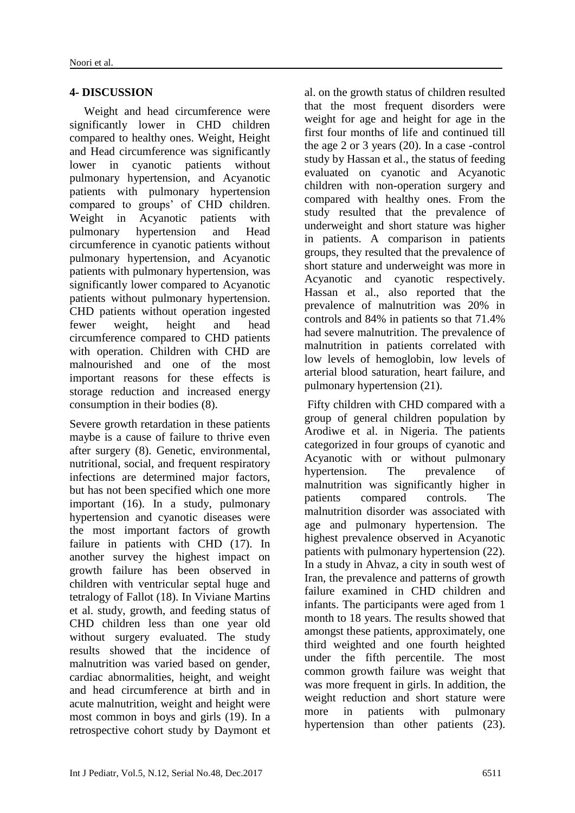# **4- DISCUSSION**

 Weight and head circumference were significantly lower in CHD children compared to healthy ones. Weight, Height and Head circumference was significantly lower in cyanotic patients without pulmonary hypertension, and Acyanotic patients with pulmonary hypertension compared to groups' of CHD children. Weight in Acyanotic patients with pulmonary hypertension and Head circumference in cyanotic patients without pulmonary hypertension, and Acyanotic patients with pulmonary hypertension, was significantly lower compared to Acyanotic patients without pulmonary hypertension. CHD patients without operation ingested fewer weight, height and head circumference compared to CHD patients with operation. Children with CHD are malnourished and one of the most important reasons for these effects is storage reduction and increased energy consumption in their bodies (8).

Severe growth retardation in these patients maybe is a cause of failure to thrive even after surgery (8). Genetic, environmental, nutritional, social, and frequent respiratory infections are determined major factors, but has not been specified which one more important (16). In a study, pulmonary hypertension and cyanotic diseases were the most important factors of growth failure in patients with CHD (17). In another survey the highest impact on growth failure has been observed in children with ventricular septal huge and tetralogy of Fallot (18). In Viviane Martins et al. study, growth, and feeding status of CHD children less than one year old without surgery evaluated. The study results showed that the incidence of malnutrition was varied based on gender, cardiac abnormalities, height, and weight and head circumference at birth and in acute malnutrition, weight and height were most common in boys and girls (19). In a retrospective cohort study by Daymont et

al. on the growth status of children resulted that the most frequent disorders were weight for age and height for age in the first four months of life and continued till the age 2 or 3 years (20). In a case -control study by Hassan et al., the status of feeding evaluated on cyanotic and Acyanotic children with non-operation surgery and compared with healthy ones. From the study resulted that the prevalence of underweight and short stature was higher in patients. A comparison in patients groups, they resulted that the prevalence of short stature and underweight was more in Acyanotic and cyanotic respectively. Hassan et al., also reported that the prevalence of malnutrition was 20% in controls and 84% in patients so that 71.4% had severe malnutrition. The prevalence of malnutrition in patients correlated with low levels of hemoglobin, low levels of arterial blood saturation, heart failure, and pulmonary hypertension (21).

Fifty children with CHD compared with a group of general children population by Arodiwe et al. in Nigeria. The patients categorized in four groups of cyanotic and Acyanotic with or without pulmonary hypertension. The prevalence of malnutrition was significantly higher in patients compared controls. The malnutrition disorder was associated with age and pulmonary hypertension. The highest prevalence observed in Acyanotic patients with pulmonary hypertension (22). In a study in Ahvaz, a city in south west of Iran, the prevalence and patterns of growth failure examined in CHD children and infants. The participants were aged from 1 month to 18 years. The results showed that amongst these patients, approximately, one third weighted and one fourth heighted under the fifth percentile. The most common growth failure was weight that was more frequent in girls. In addition, the weight reduction and short stature were more in patients with pulmonary hypertension than other patients (23).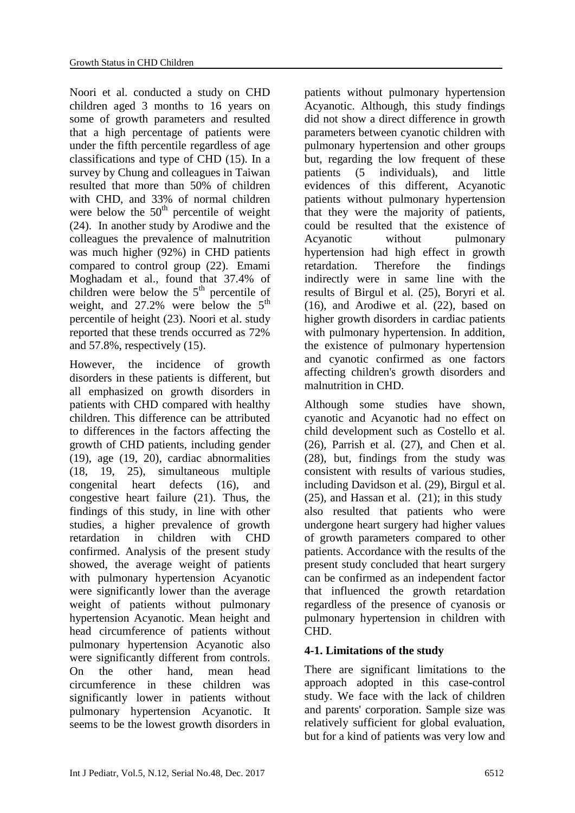Noori et al. conducted a study on CHD children aged 3 months to 16 years on some of growth parameters and resulted that a high percentage of patients were under the fifth percentile regardless of age classifications and type of CHD (15). In a survey by Chung and colleagues in Taiwan resulted that more than 50% of children with CHD, and 33% of normal children were below the  $50<sup>th</sup>$  percentile of weight (24). In another study by Arodiwe and the colleagues the prevalence of malnutrition was much higher (92%) in CHD patients compared to control group (22). Emami Moghadam et al., found that 37.4% of children were below the  $5<sup>th</sup>$  percentile of weight, and  $27.2\%$  were below the  $5<sup>th</sup>$ percentile of height (23). Noori et al. study reported that these trends occurred as 72% and 57.8%, respectively (15).

However, the incidence of growth disorders in these patients is different, but all emphasized on growth disorders in patients with CHD compared with healthy children. This difference can be attributed to differences in the factors affecting the growth of CHD patients, including gender (19), age (19, 20), cardiac abnormalities (18, 19, 25), simultaneous multiple congenital heart defects (16), and congestive heart failure (21). Thus, the findings of this study, in line with other studies, a higher prevalence of growth retardation in children with CHD confirmed. Analysis of the present study showed, the average weight of patients with pulmonary hypertension Acyanotic were significantly lower than the average weight of patients without pulmonary hypertension Acyanotic. Mean height and head circumference of patients without pulmonary hypertension Acyanotic also were significantly different from controls. On the other hand, mean head circumference in these children was significantly lower in patients without pulmonary hypertension Acyanotic. It seems to be the lowest growth disorders in

patients without pulmonary hypertension Acyanotic. Although, this study findings did not show a direct difference in growth parameters between cyanotic children with pulmonary hypertension and other groups but, regarding the low frequent of these patients (5 individuals), and little evidences of this different, Acyanotic patients without pulmonary hypertension that they were the majority of patients, could be resulted that the existence of Acyanotic without pulmonary hypertension had high effect in growth retardation. Therefore the findings indirectly were in same line with the results of Birgul et al. (25), Boryri et al. (16), and Arodiwe et al. (22), based on higher growth disorders in cardiac patients with pulmonary hypertension. In addition, the existence of pulmonary hypertension and cyanotic confirmed as one factors affecting children's growth disorders and malnutrition in CHD.

Although some studies have shown, cyanotic and Acyanotic had no effect on child development such as Costello et al. (26), Parrish et al. (27), and Chen et al. (28), but, findings from the study was consistent with results of various studies, including Davidson et al. (29), Birgul et al.  $(25)$ , and Hassan et al.  $(21)$ ; in this study also resulted that patients who were undergone heart surgery had higher values of growth parameters compared to other patients. Accordance with the results of the present study concluded that heart surgery can be confirmed as an independent factor that influenced the growth retardation regardless of the presence of cyanosis or pulmonary hypertension in children with CHD.

#### **4-1. Limitations of the study**

There are significant limitations to the approach adopted in this case-control study. We face with the lack of children and parents' corporation. Sample size was relatively sufficient for global evaluation, but for a kind of patients was very low and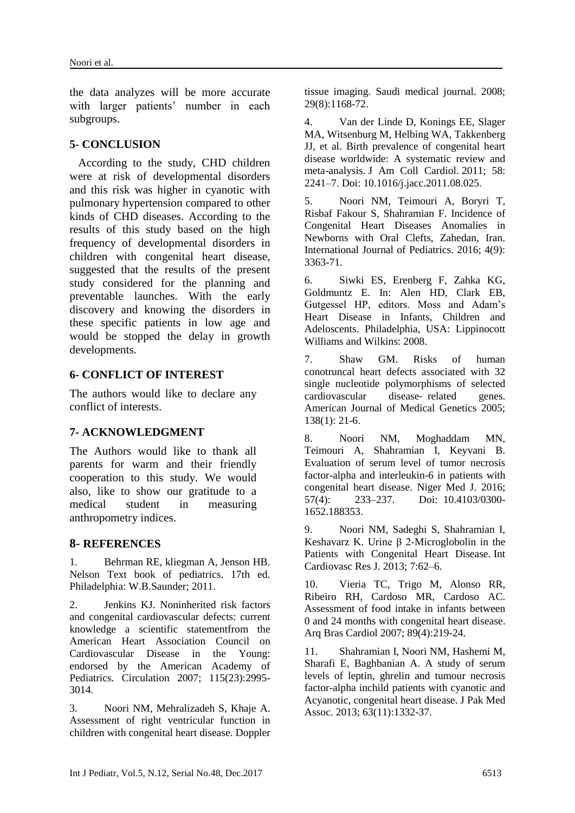the data analyzes will be more accurate with larger patients' number in each subgroups.

#### **5- CONCLUSION**

 According to the study, CHD children were at risk of developmental disorders and this risk was higher in cyanotic with pulmonary hypertension compared to other kinds of CHD diseases. According to the results of this study based on the high frequency of developmental disorders in children with congenital heart disease, suggested that the results of the present study considered for the planning and preventable launches. With the early discovery and knowing the disorders in these specific patients in low age and would be stopped the delay in growth developments.

#### **6- CONFLICT OF INTEREST**

The authors would like to declare any conflict of interests.

# **7- ACKNOWLEDGMENT**

The Authors would like to thank all parents for warm and their friendly cooperation to this study. We would also, like to show our gratitude to a medical student in measuring anthropometry indices.

# **8- REFERENCES**

1. Behrman RE, kliegman A, Jenson HB. Nelson Text book of pediatrics. 17th ed. Philadelphia: W.B.Saunder; 2011.

2. Jenkins KJ. Noninherited risk factors and congenital cardiovascular defects: current knowledge a scientific statementfrom the American Heart Association Council on Cardiovascular Disease in the Young: endorsed by the American Academy of Pediatrics. Circulation 2007; 115(23):2995- 3014.

3. Noori NM, Mehralizadeh S, Khaje A. Assessment of right ventricular function in children with congenital heart disease. Doppler tissue imaging. Saudi medical journal. 2008; 29(8):1168-72.

4. Van der Linde D, Konings EE, Slager MA, Witsenburg M, Helbing WA, Takkenberg JJ, et al. Birth prevalence of congenital heart disease worldwide: A systematic review and meta-analysis. J Am Coll Cardiol. 2011; 58: 2241–7. Doi: 10.1016/j.jacc.2011.08.025.

5. Noori NM, Teimouri A, Boryri T, Risbaf Fakour S, Shahramian F. Incidence of Congenital Heart Diseases Anomalies in Newborns with Oral Clefts, Zahedan, Iran. International Journal of Pediatrics. 2016; 4(9): 3363-71.

6. Siwki ES, Erenberg F, Zahka KG, Goldmuntz E. In: Alen HD, Clark EB, Gutgessel HP, editors. Moss and Adam's Heart Disease in Infants, Children and Adeloscents. Philadelphia, USA: Lippinocott Williams and Wilkins: 2008.

7. Shaw GM. Risks of human conotruncal heart defects associated with 32 single nucleotide polymorphisms of selected cardiovascular disease‐ related genes. American Journal of Medical Genetics 2005; 138(1): 21-6.

8. Noori NM, Moghaddam MN, Teimouri A, Shahramian I, Keyvani B. Evaluation of serum level of tumor necrosis factor-alpha and interleukin-6 in patients with congenital heart disease. [Niger Med J.](https://www.ncbi.nlm.nih.gov/pmc/articles/PMC4995815/) 2016; 57(4): 233–237. Doi: [10.4103/0300-](https://dx.doi.org/10.4103%2F0300-1652.188353) [1652.188353.](https://dx.doi.org/10.4103%2F0300-1652.188353)

9. Noori NM, Sadeghi S, Shahramian I, Keshavarz K. Urine β 2-Microglobolin in the Patients with Congenital Heart Disease. Int Cardiovasc Res J. 2013; 7:62–6.

10. Vieria TC, Trigo M, Alonso RR, Ribeiro RH, Cardoso MR, Cardoso AC. Assessment of food intake in infants between 0 and 24 months with congenital heart disease. Arq Bras Cardiol 2007; 89(4):219-24.

11. Shahramian I, Noori NM, Hashemi M, Sharafi E, Baghbanian A. A study of serum levels of leptin, ghrelin and tumour necrosis factor-alpha inchild patients with cyanotic and Acyanotic, congenital heart disease. J Pak Med Assoc. 2013; 63(11):1332-37.